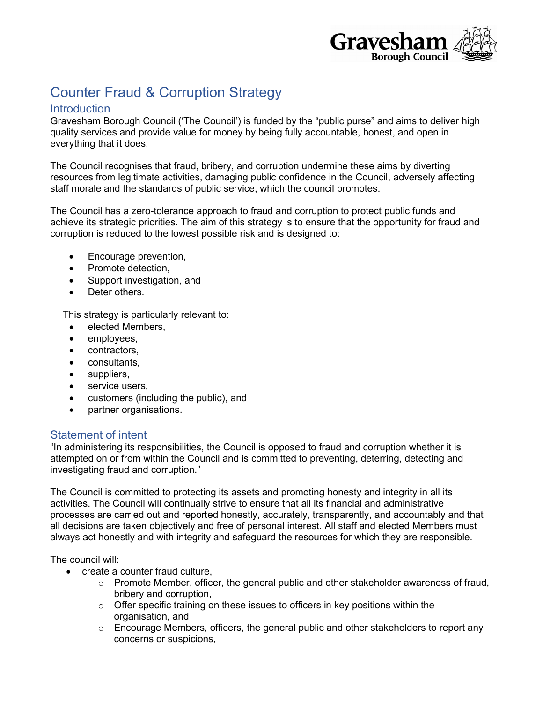

# Counter Fraud & Corruption Strategy

# **Introduction**

Gravesham Borough Council ('The Council') is funded by the "public purse" and aims to deliver high quality services and provide value for money by being fully accountable, honest, and open in everything that it does.

The Council recognises that fraud, bribery, and corruption undermine these aims by diverting resources from legitimate activities, damaging public confidence in the Council, adversely affecting staff morale and the standards of public service, which the council promotes.

The Council has a zero-tolerance approach to fraud and corruption to protect public funds and achieve its strategic priorities. The aim of this strategy is to ensure that the opportunity for fraud and corruption is reduced to the lowest possible risk and is designed to:

- Encourage prevention,
- Promote detection,
- Support investigation, and
- Deter others.

This strategy is particularly relevant to:

- elected Members,
- employees,
- contractors,
- consultants,
- suppliers,
- service users,
- customers (including the public), and
- partner organisations.

# Statement of intent

"In administering its responsibilities, the Council is opposed to fraud and corruption whether it is attempted on or from within the Council and is committed to preventing, deterring, detecting and investigating fraud and corruption."

The Council is committed to protecting its assets and promoting honesty and integrity in all its activities. The Council will continually strive to ensure that all its financial and administrative processes are carried out and reported honestly, accurately, transparently, and accountably and that all decisions are taken objectively and free of personal interest. All staff and elected Members must always act honestly and with integrity and safeguard the resources for which they are responsible.

The council will:

- create a counter fraud culture,
	- $\circ$  Promote Member, officer, the general public and other stakeholder awareness of fraud, bribery and corruption,
	- o Offer specific training on these issues to officers in key positions within the organisation, and
	- $\circ$  Encourage Members, officers, the general public and other stakeholders to report any concerns or suspicions,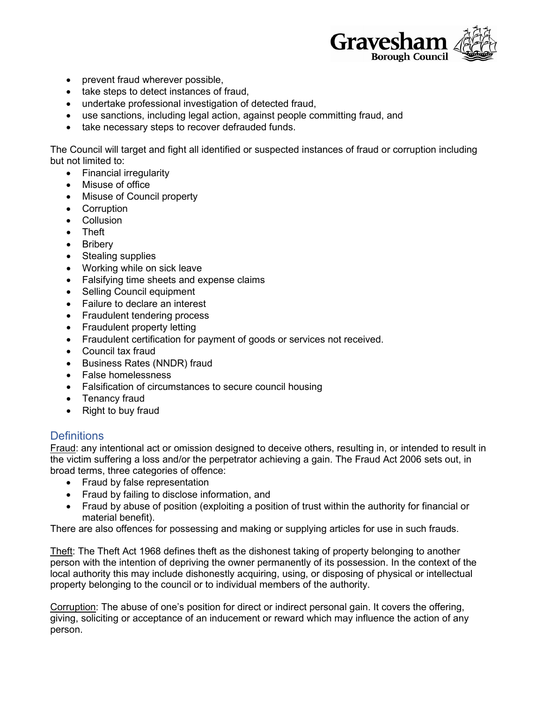

- prevent fraud wherever possible,
- take steps to detect instances of fraud,
- undertake professional investigation of detected fraud,
- use sanctions, including legal action, against people committing fraud, and
- take necessary steps to recover defrauded funds.

The Council will target and fight all identified or suspected instances of fraud or corruption including but not limited to:

- Financial irregularity
- Misuse of office
- Misuse of Council property
- Corruption
- Collusion
- Theft
- Bribery
- Stealing supplies
- Working while on sick leave
- Falsifying time sheets and expense claims
- Selling Council equipment
- Failure to declare an interest
- Fraudulent tendering process
- Fraudulent property letting
- Fraudulent certification for payment of goods or services not received.
- Council tax fraud
- Business Rates (NNDR) fraud
- False homelessness
- Falsification of circumstances to secure council housing
- Tenancy fraud
- Right to buy fraud

# **Definitions**

Fraud: any intentional act or omission designed to deceive others, resulting in, or intended to result in the victim suffering a loss and/or the perpetrator achieving a gain. The Fraud Act 2006 sets out, in broad terms, three categories of offence:

- Fraud by false representation
- Fraud by failing to disclose information, and
- Fraud by abuse of position (exploiting a position of trust within the authority for financial or material benefit).

There are also offences for possessing and making or supplying articles for use in such frauds.

Theft: The Theft Act 1968 defines theft as the dishonest taking of property belonging to another person with the intention of depriving the owner permanently of its possession. In the context of the local authority this may include dishonestly acquiring, using, or disposing of physical or intellectual property belonging to the council or to individual members of the authority.

Corruption: The abuse of one's position for direct or indirect personal gain. It covers the offering, giving, soliciting or acceptance of an inducement or reward which may influence the action of any person.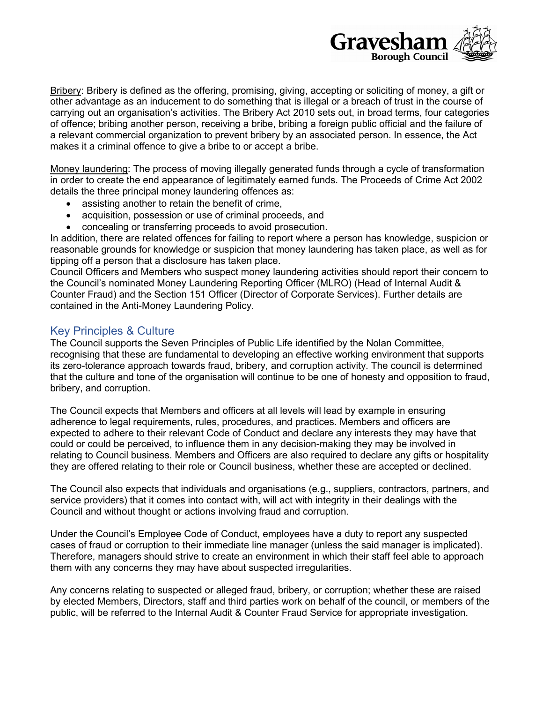

Bribery: Bribery is defined as the offering, promising, giving, accepting or soliciting of money, a gift or other advantage as an inducement to do something that is illegal or a breach of trust in the course of carrying out an organisation's activities. The Bribery Act 2010 sets out, in broad terms, four categories of offence; bribing another person, receiving a bribe, bribing a foreign public official and the failure of a relevant commercial organization to prevent bribery by an associated person. In essence, the Act makes it a criminal offence to give a bribe to or accept a bribe.

Money laundering: The process of moving illegally generated funds through a cycle of transformation in order to create the end appearance of legitimately earned funds. The Proceeds of Crime Act 2002 details the three principal money laundering offences as:

- assisting another to retain the benefit of crime,
- acquisition, possession or use of criminal proceeds, and
- concealing or transferring proceeds to avoid prosecution.

In addition, there are related offences for failing to report where a person has knowledge, suspicion or reasonable grounds for knowledge or suspicion that money laundering has taken place, as well as for tipping off a person that a disclosure has taken place.

Council Officers and Members who suspect money laundering activities should report their concern to the Council's nominated Money Laundering Reporting Officer (MLRO) (Head of Internal Audit & Counter Fraud) and the Section 151 Officer (Director of Corporate Services). Further details are contained in the Anti-Money Laundering Policy.

# Key Principles & Culture

The Council supports the Seven Principles of Public Life identified by the Nolan Committee, recognising that these are fundamental to developing an effective working environment that supports its zero-tolerance approach towards fraud, bribery, and corruption activity. The council is determined that the culture and tone of the organisation will continue to be one of honesty and opposition to fraud, bribery, and corruption.

The Council expects that Members and officers at all levels will lead by example in ensuring adherence to legal requirements, rules, procedures, and practices. Members and officers are expected to adhere to their relevant Code of Conduct and declare any interests they may have that could or could be perceived, to influence them in any decision-making they may be involved in relating to Council business. Members and Officers are also required to declare any gifts or hospitality they are offered relating to their role or Council business, whether these are accepted or declined.

The Council also expects that individuals and organisations (e.g., suppliers, contractors, partners, and service providers) that it comes into contact with, will act with integrity in their dealings with the Council and without thought or actions involving fraud and corruption.

Under the Council's Employee Code of Conduct, employees have a duty to report any suspected cases of fraud or corruption to their immediate line manager (unless the said manager is implicated). Therefore, managers should strive to create an environment in which their staff feel able to approach them with any concerns they may have about suspected irregularities.

Any concerns relating to suspected or alleged fraud, bribery, or corruption; whether these are raised by elected Members, Directors, staff and third parties work on behalf of the council, or members of the public, will be referred to the Internal Audit & Counter Fraud Service for appropriate investigation.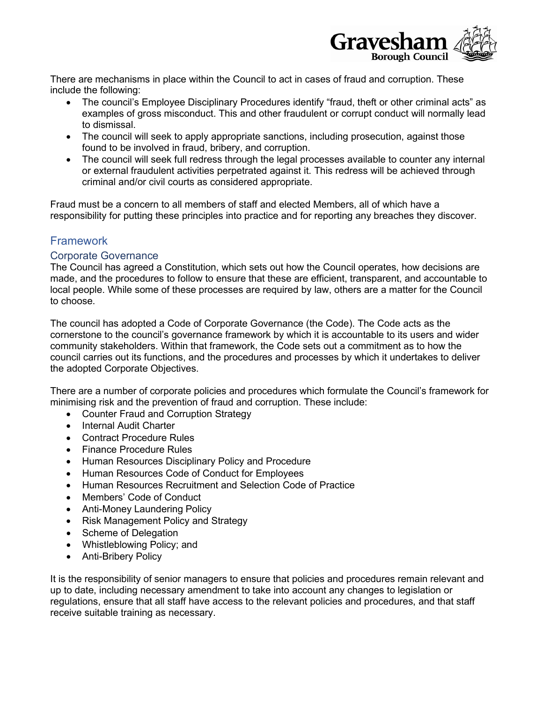

There are mechanisms in place within the Council to act in cases of fraud and corruption. These include the following:

- The council's Employee Disciplinary Procedures identify "fraud, theft or other criminal acts" as examples of gross misconduct. This and other fraudulent or corrupt conduct will normally lead to dismissal.
- The council will seek to apply appropriate sanctions, including prosecution, against those found to be involved in fraud, bribery, and corruption.
- The council will seek full redress through the legal processes available to counter any internal or external fraudulent activities perpetrated against it. This redress will be achieved through criminal and/or civil courts as considered appropriate.

Fraud must be a concern to all members of staff and elected Members, all of which have a responsibility for putting these principles into practice and for reporting any breaches they discover.

# **Framework**

# Corporate Governance

The Council has agreed a Constitution, which sets out how the Council operates, how decisions are made, and the procedures to follow to ensure that these are efficient, transparent, and accountable to local people. While some of these processes are required by law, others are a matter for the Council to choose.

The council has adopted a Code of Corporate Governance (the Code). The Code acts as the cornerstone to the council's governance framework by which it is accountable to its users and wider community stakeholders. Within that framework, the Code sets out a commitment as to how the council carries out its functions, and the procedures and processes by which it undertakes to deliver the adopted Corporate Objectives.

There are a number of corporate policies and procedures which formulate the Council's framework for minimising risk and the prevention of fraud and corruption. These include:

- Counter Fraud and Corruption Strategy
- Internal Audit Charter
- Contract Procedure Rules
- Finance Procedure Rules
- Human Resources Disciplinary Policy and Procedure
- Human Resources Code of Conduct for Employees
- Human Resources Recruitment and Selection Code of Practice
- Members' Code of Conduct
- Anti-Money Laundering Policy
- Risk Management Policy and Strategy
- Scheme of Delegation
- Whistleblowing Policy; and
- Anti-Bribery Policy

It is the responsibility of senior managers to ensure that policies and procedures remain relevant and up to date, including necessary amendment to take into account any changes to legislation or regulations, ensure that all staff have access to the relevant policies and procedures, and that staff receive suitable training as necessary.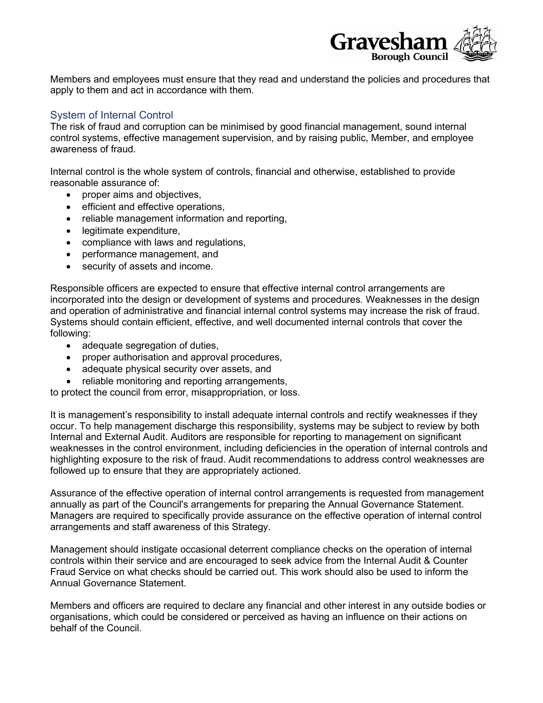

Members and employees must ensure that they read and understand the policies and procedures that apply to them and act in accordance with them.

# System of Internal Control

The risk of fraud and corruption can be minimised by good financial management, sound internal control systems, effective management supervision, and by raising public, Member, and employee awareness of fraud.

Internal control is the whole system of controls, financial and otherwise, established to provide reasonable assurance of:

- proper aims and objectives,
- efficient and effective operations,
- reliable management information and reporting,
- legitimate expenditure,
- compliance with laws and regulations,
- performance management, and
- security of assets and income.

Responsible officers are expected to ensure that effective internal control arrangements are incorporated into the design or development of systems and procedures. Weaknesses in the design and operation of administrative and financial internal control systems may increase the risk of fraud. Systems should contain efficient, effective, and well documented internal controls that cover the following:

- adequate segregation of duties,
- proper authorisation and approval procedures,
- adequate physical security over assets, and
- reliable monitoring and reporting arrangements,

to protect the council from error, misappropriation, or loss.

It is management's responsibility to install adequate internal controls and rectify weaknesses if they occur. To help management discharge this responsibility, systems may be subject to review by both Internal and External Audit. Auditors are responsible for reporting to management on significant weaknesses in the control environment, including deficiencies in the operation of internal controls and highlighting exposure to the risk of fraud. Audit recommendations to address control weaknesses are followed up to ensure that they are appropriately actioned.

Assurance of the effective operation of internal control arrangements is requested from management annually as part of the Council's arrangements for preparing the Annual Governance Statement. Managers are required to specifically provide assurance on the effective operation of internal control arrangements and staff awareness of this Strategy.

Management should instigate occasional deterrent compliance checks on the operation of internal controls within their service and are encouraged to seek advice from the Internal Audit & Counter Fraud Service on what checks should be carried out. This work should also be used to inform the Annual Governance Statement.

Members and officers are required to declare any financial and other interest in any outside bodies or organisations, which could be considered or perceived as having an influence on their actions on behalf of the Council.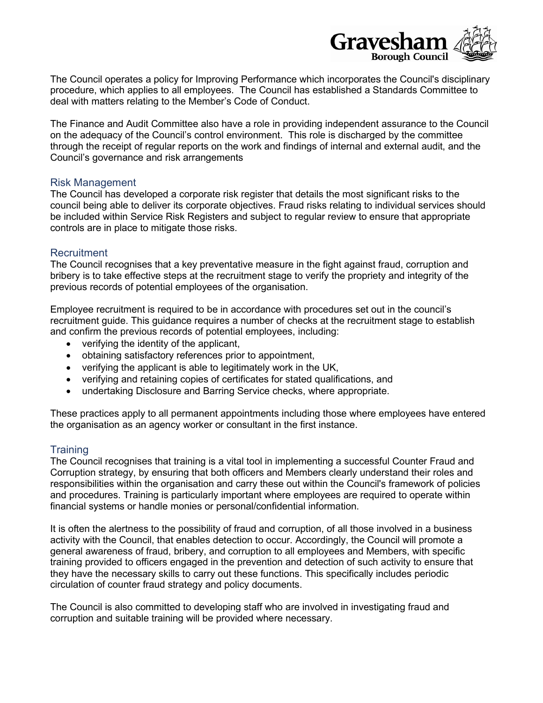

The Council operates a policy for Improving Performance which incorporates the Council's disciplinary procedure, which applies to all employees. The Council has established a Standards Committee to deal with matters relating to the Member's Code of Conduct.

The Finance and Audit Committee also have a role in providing independent assurance to the Council on the adequacy of the Council's control environment. This role is discharged by the committee through the receipt of regular reports on the work and findings of internal and external audit, and the Council's governance and risk arrangements

#### Risk Management

The Council has developed a corporate risk register that details the most significant risks to the council being able to deliver its corporate objectives. Fraud risks relating to individual services should be included within Service Risk Registers and subject to regular review to ensure that appropriate controls are in place to mitigate those risks.

## **Recruitment**

The Council recognises that a key preventative measure in the fight against fraud, corruption and bribery is to take effective steps at the recruitment stage to verify the propriety and integrity of the previous records of potential employees of the organisation.

Employee recruitment is required to be in accordance with procedures set out in the council's recruitment guide. This guidance requires a number of checks at the recruitment stage to establish and confirm the previous records of potential employees, including:

- verifying the identity of the applicant,
- obtaining satisfactory references prior to appointment,
- verifying the applicant is able to legitimately work in the UK,
- verifying and retaining copies of certificates for stated qualifications, and
- undertaking Disclosure and Barring Service checks, where appropriate.

These practices apply to all permanent appointments including those where employees have entered the organisation as an agency worker or consultant in the first instance.

## **Training**

The Council recognises that training is a vital tool in implementing a successful Counter Fraud and Corruption strategy, by ensuring that both officers and Members clearly understand their roles and responsibilities within the organisation and carry these out within the Council's framework of policies and procedures. Training is particularly important where employees are required to operate within financial systems or handle monies or personal/confidential information.

It is often the alertness to the possibility of fraud and corruption, of all those involved in a business activity with the Council, that enables detection to occur. Accordingly, the Council will promote a general awareness of fraud, bribery, and corruption to all employees and Members, with specific training provided to officers engaged in the prevention and detection of such activity to ensure that they have the necessary skills to carry out these functions. This specifically includes periodic circulation of counter fraud strategy and policy documents.

The Council is also committed to developing staff who are involved in investigating fraud and corruption and suitable training will be provided where necessary.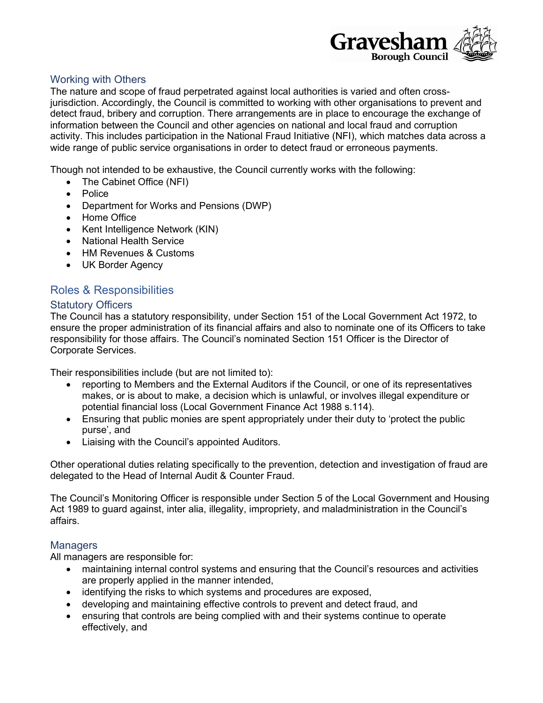

## Working with Others

The nature and scope of fraud perpetrated against local authorities is varied and often crossjurisdiction. Accordingly, the Council is committed to working with other organisations to prevent and detect fraud, bribery and corruption. There arrangements are in place to encourage the exchange of information between the Council and other agencies on national and local fraud and corruption activity. This includes participation in the National Fraud Initiative (NFI), which matches data across a wide range of public service organisations in order to detect fraud or erroneous payments.

Though not intended to be exhaustive, the Council currently works with the following:

- The Cabinet Office (NFI)
- Police
- Department for Works and Pensions (DWP)
- Home Office
- Kent Intelligence Network (KIN)
- National Health Service
- HM Revenues & Customs
- UK Border Agency

# Roles & Responsibilities

#### Statutory Officers

The Council has a statutory responsibility, under Section 151 of the Local Government Act 1972, to ensure the proper administration of its financial affairs and also to nominate one of its Officers to take responsibility for those affairs. The Council's nominated Section 151 Officer is the Director of Corporate Services.

Their responsibilities include (but are not limited to):

- reporting to Members and the External Auditors if the Council, or one of its representatives makes, or is about to make, a decision which is unlawful, or involves illegal expenditure or potential financial loss (Local Government Finance Act 1988 s.114).
- Ensuring that public monies are spent appropriately under their duty to 'protect the public purse', and
- Liaising with the Council's appointed Auditors.

Other operational duties relating specifically to the prevention, detection and investigation of fraud are delegated to the Head of Internal Audit & Counter Fraud.

The Council's Monitoring Officer is responsible under Section 5 of the Local Government and Housing Act 1989 to guard against, inter alia, illegality, impropriety, and maladministration in the Council's affairs.

## **Managers**

All managers are responsible for:

- maintaining internal control systems and ensuring that the Council's resources and activities are properly applied in the manner intended,
- identifying the risks to which systems and procedures are exposed,
- developing and maintaining effective controls to prevent and detect fraud, and
- ensuring that controls are being complied with and their systems continue to operate effectively, and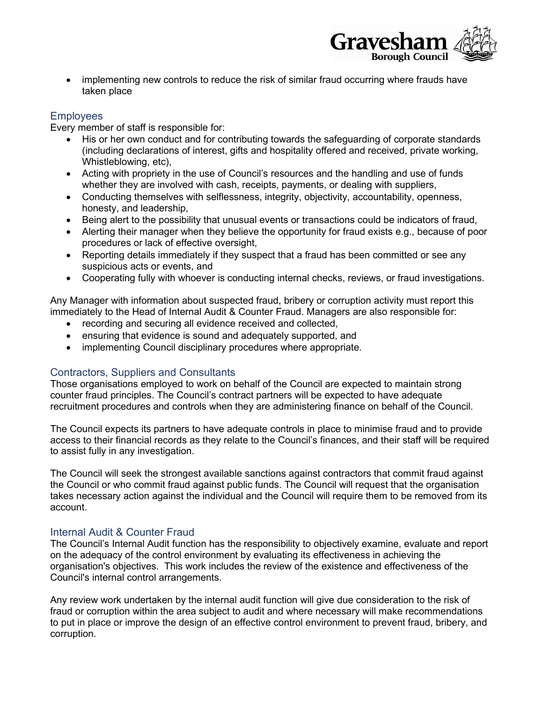

• implementing new controls to reduce the risk of similar fraud occurring where frauds have taken place

# **Employees**

Every member of staff is responsible for:

- His or her own conduct and for contributing towards the safeguarding of corporate standards (including declarations of interest, gifts and hospitality offered and received, private working, Whistleblowing, etc),
- Acting with propriety in the use of Council's resources and the handling and use of funds whether they are involved with cash, receipts, payments, or dealing with suppliers,
- Conducting themselves with selflessness, integrity, objectivity, accountability, openness, honesty, and leadership,
- Being alert to the possibility that unusual events or transactions could be indicators of fraud,
- Alerting their manager when they believe the opportunity for fraud exists e.g., because of poor procedures or lack of effective oversight,
- Reporting details immediately if they suspect that a fraud has been committed or see any suspicious acts or events, and
- Cooperating fully with whoever is conducting internal checks, reviews, or fraud investigations.

Any Manager with information about suspected fraud, bribery or corruption activity must report this immediately to the Head of Internal Audit & Counter Fraud. Managers are also responsible for:

- recording and securing all evidence received and collected,
- ensuring that evidence is sound and adequately supported, and
- implementing Council disciplinary procedures where appropriate.

## Contractors, Suppliers and Consultants

Those organisations employed to work on behalf of the Council are expected to maintain strong counter fraud principles. The Council's contract partners will be expected to have adequate recruitment procedures and controls when they are administering finance on behalf of the Council.

The Council expects its partners to have adequate controls in place to minimise fraud and to provide access to their financial records as they relate to the Council's finances, and their staff will be required to assist fully in any investigation.

The Council will seek the strongest available sanctions against contractors that commit fraud against the Council or who commit fraud against public funds. The Council will request that the organisation takes necessary action against the individual and the Council will require them to be removed from its account.

## Internal Audit & Counter Fraud

The Council's Internal Audit function has the responsibility to objectively examine, evaluate and report on the adequacy of the control environment by evaluating its effectiveness in achieving the organisation's objectives. This work includes the review of the existence and effectiveness of the Council's internal control arrangements.

Any review work undertaken by the internal audit function will give due consideration to the risk of fraud or corruption within the area subject to audit and where necessary will make recommendations to put in place or improve the design of an effective control environment to prevent fraud, bribery, and corruption.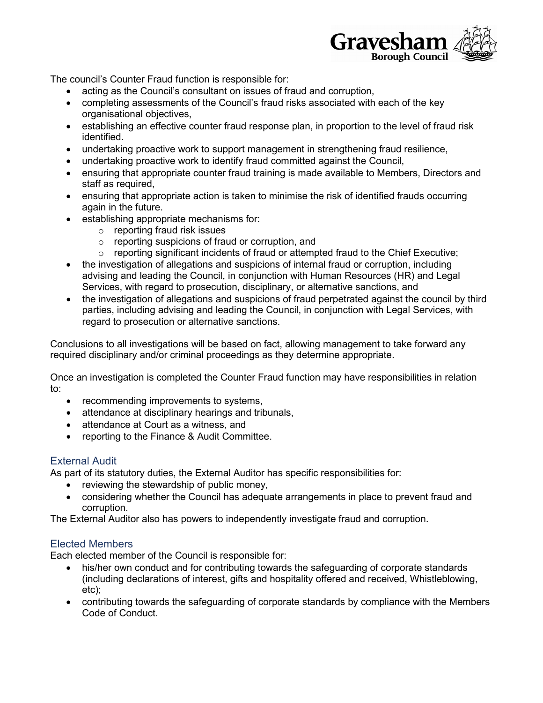

The council's Counter Fraud function is responsible for:

- acting as the Council's consultant on issues of fraud and corruption,
- completing assessments of the Council's fraud risks associated with each of the key organisational objectives,
- establishing an effective counter fraud response plan, in proportion to the level of fraud risk identified.
- undertaking proactive work to support management in strengthening fraud resilience,
- undertaking proactive work to identify fraud committed against the Council,
- ensuring that appropriate counter fraud training is made available to Members, Directors and staff as required,
- ensuring that appropriate action is taken to minimise the risk of identified frauds occurring again in the future.
- establishing appropriate mechanisms for:
	- o reporting fraud risk issues
	- o reporting suspicions of fraud or corruption, and
	- $\circ$  reporting significant incidents of fraud or attempted fraud to the Chief Executive;
- the investigation of allegations and suspicions of internal fraud or corruption, including advising and leading the Council, in conjunction with Human Resources (HR) and Legal Services, with regard to prosecution, disciplinary, or alternative sanctions, and
- the investigation of allegations and suspicions of fraud perpetrated against the council by third parties, including advising and leading the Council, in conjunction with Legal Services, with regard to prosecution or alternative sanctions.

Conclusions to all investigations will be based on fact, allowing management to take forward any required disciplinary and/or criminal proceedings as they determine appropriate.

Once an investigation is completed the Counter Fraud function may have responsibilities in relation to:

- recommending improvements to systems,
- attendance at disciplinary hearings and tribunals,
- attendance at Court as a witness, and
- reporting to the Finance & Audit Committee.

# External Audit

As part of its statutory duties, the External Auditor has specific responsibilities for:

- reviewing the stewardship of public money,
- considering whether the Council has adequate arrangements in place to prevent fraud and corruption.

The External Auditor also has powers to independently investigate fraud and corruption.

# Elected Members

Each elected member of the Council is responsible for:

- his/her own conduct and for contributing towards the safeguarding of corporate standards (including declarations of interest, gifts and hospitality offered and received, Whistleblowing, etc);
- contributing towards the safeguarding of corporate standards by compliance with the Members Code of Conduct.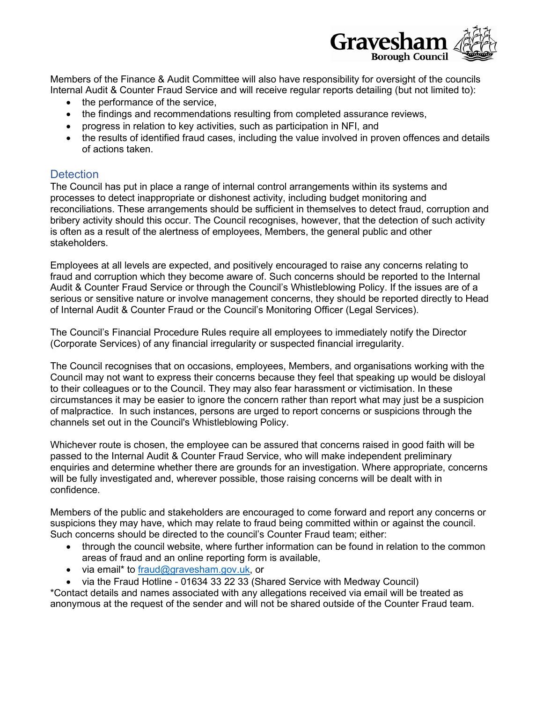

Members of the Finance & Audit Committee will also have responsibility for oversight of the councils Internal Audit & Counter Fraud Service and will receive regular reports detailing (but not limited to):

- the performance of the service,
- the findings and recommendations resulting from completed assurance reviews,
- progress in relation to key activities, such as participation in NFI, and
- the results of identified fraud cases, including the value involved in proven offences and details of actions taken.

## **Detection**

The Council has put in place a range of internal control arrangements within its systems and processes to detect inappropriate or dishonest activity, including budget monitoring and reconciliations. These arrangements should be sufficient in themselves to detect fraud, corruption and bribery activity should this occur. The Council recognises, however, that the detection of such activity is often as a result of the alertness of employees, Members, the general public and other stakeholders.

Employees at all levels are expected, and positively encouraged to raise any concerns relating to fraud and corruption which they become aware of. Such concerns should be reported to the Internal Audit & Counter Fraud Service or through the Council's Whistleblowing Policy. If the issues are of a serious or sensitive nature or involve management concerns, they should be reported directly to Head of Internal Audit & Counter Fraud or the Council's Monitoring Officer (Legal Services).

The Council's Financial Procedure Rules require all employees to immediately notify the Director (Corporate Services) of any financial irregularity or suspected financial irregularity.

The Council recognises that on occasions, employees, Members, and organisations working with the Council may not want to express their concerns because they feel that speaking up would be disloyal to their colleagues or to the Council. They may also fear harassment or victimisation. In these circumstances it may be easier to ignore the concern rather than report what may just be a suspicion of malpractice. In such instances, persons are urged to report concerns or suspicions through the channels set out in the Council's Whistleblowing Policy.

Whichever route is chosen, the employee can be assured that concerns raised in good faith will be passed to the Internal Audit & Counter Fraud Service, who will make independent preliminary enquiries and determine whether there are grounds for an investigation. Where appropriate, concerns will be fully investigated and, wherever possible, those raising concerns will be dealt with in confidence.

Members of the public and stakeholders are encouraged to come forward and report any concerns or suspicions they may have, which may relate to fraud being committed within or against the council. Such concerns should be directed to the council's Counter Fraud team; either:

- through the council website, where further information can be found in relation to the common areas of fraud and an online reporting form is available,
- via email\* to [fraud@gravesham.gov.uk,](mailto:fraud@gravesham.gov.uk) or
- via the Fraud Hotline 01634 33 22 33 (Shared Service with Medway Council)

\*Contact details and names associated with any allegations received via email will be treated as anonymous at the request of the sender and will not be shared outside of the Counter Fraud team.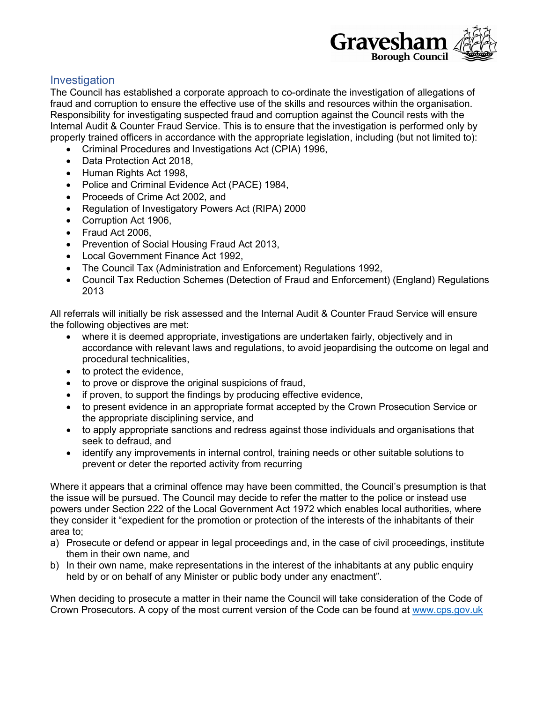

# **Investigation**

The Council has established a corporate approach to co-ordinate the investigation of allegations of fraud and corruption to ensure the effective use of the skills and resources within the organisation. Responsibility for investigating suspected fraud and corruption against the Council rests with the Internal Audit & Counter Fraud Service. This is to ensure that the investigation is performed only by properly trained officers in accordance with the appropriate legislation, including (but not limited to):

- Criminal Procedures and Investigations Act (CPIA) 1996,
- Data Protection Act 2018,
- Human Rights Act 1998,
- Police and Criminal Evidence Act (PACE) 1984,
- Proceeds of Crime Act 2002, and
- Regulation of Investigatory Powers Act (RIPA) 2000
- Corruption Act 1906,
- Fraud Act 2006.
- Prevention of Social Housing Fraud Act 2013,
- Local Government Finance Act 1992,
- The Council Tax (Administration and Enforcement) Regulations 1992,
- Council Tax Reduction Schemes (Detection of Fraud and Enforcement) (England) Regulations 2013

All referrals will initially be risk assessed and the Internal Audit & Counter Fraud Service will ensure the following objectives are met:

- where it is deemed appropriate, investigations are undertaken fairly, objectively and in accordance with relevant laws and regulations, to avoid jeopardising the outcome on legal and procedural technicalities,
- to protect the evidence,
- to prove or disprove the original suspicions of fraud,
- if proven, to support the findings by producing effective evidence,
- to present evidence in an appropriate format accepted by the Crown Prosecution Service or the appropriate disciplining service, and
- to apply appropriate sanctions and redress against those individuals and organisations that seek to defraud, and
- identify any improvements in internal control, training needs or other suitable solutions to prevent or deter the reported activity from recurring

Where it appears that a criminal offence may have been committed, the Council's presumption is that the issue will be pursued. The Council may decide to refer the matter to the police or instead use powers under Section 222 of the Local Government Act 1972 which enables local authorities, where they consider it "expedient for the promotion or protection of the interests of the inhabitants of their area to;

- a) Prosecute or defend or appear in legal proceedings and, in the case of civil proceedings, institute them in their own name, and
- b) In their own name, make representations in the interest of the inhabitants at any public enquiry held by or on behalf of any Minister or public body under any enactment".

When deciding to prosecute a matter in their name the Council will take consideration of the Code of Crown Prosecutors. A copy of the most current version of the Code can be found at [www.cps.gov.uk](http://www.cps.gov.uk/)